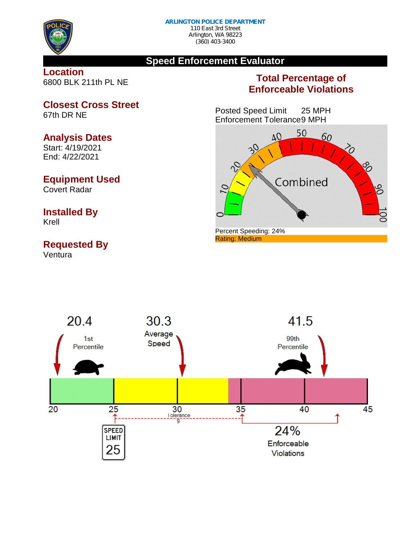

## **Speed Enforcement Evaluator**

#### **Location** 6800 BLK 211th PL NE

# **Total Percentage of Enforceable Violations**

Posted Speed Limit 25 MPH Enforcement Tolerance9 MPH





**Closest Cross Street** 67th DR NE

#### **Analysis Dates**

Start: 4/19/2021 End: 4/22/2021

## **Equipment Used**

Covert Radar

# **Installed By**

Krell

# **Requested By**

Ventura